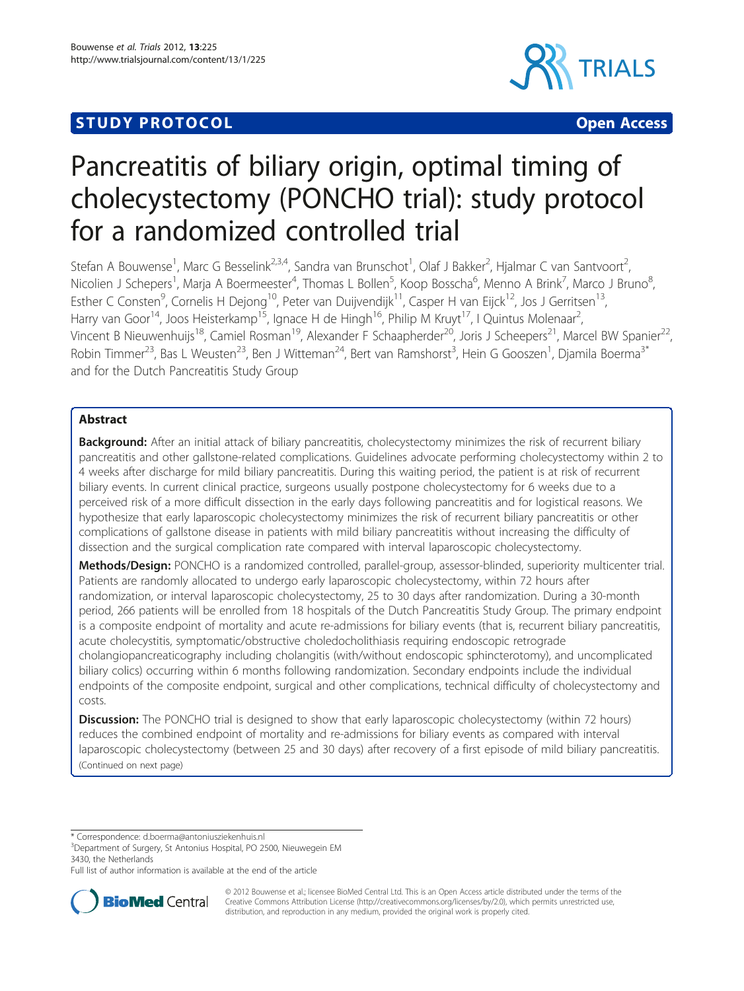## **STUDY PROTOCOL CONSUMING THE CONSUMING OPEN ACCESS**



# Pancreatitis of biliary origin, optimal timing of cholecystectomy (PONCHO trial): study protocol for a randomized controlled trial

Stefan A Bouwense<sup>1</sup>, Marc G Besselink<sup>2,3,4</sup>, Sandra van Brunschot<sup>1</sup>, Olaf J Bakker<sup>2</sup>, Hjalmar C van Santvoort<sup>2</sup> , Nicolien J Schepers<sup>1</sup>, Marja A Boermeester<sup>4</sup>, Thomas L Bollen<sup>5</sup>, Koop Bosscha<sup>6</sup>, Menno A Brink<sup>7</sup>, Marco J Bruno<sup>8</sup> , Esther C Consten<sup>9</sup>, Cornelis H Dejong<sup>10</sup>, Peter van Duijvendijk<sup>11</sup>, Casper H van Eijck<sup>12</sup>, Jos J Gerritsen<sup>13</sup>, Harry van Goor<sup>14</sup>, Joos Heisterkamp<sup>15</sup>, Ignace H de Hingh<sup>16</sup>, Philip M Kruyt<sup>17</sup>, I Quintus Molenaar<sup>2</sup>, , Vincent B Nieuwenhuijs<sup>18</sup>, Camiel Rosman<sup>19</sup>, Alexander F Schaapherder<sup>20</sup>, Joris J Scheepers<sup>21</sup>, Marcel BW Spanier<sup>22</sup>, Robin Timmer<sup>23</sup>, Bas L Weusten<sup>23</sup>, Ben J Witteman<sup>24</sup>, Bert van Ramshorst<sup>3</sup>, Hein G Gooszen<sup>1</sup>, Djamila Boerma<sup>3\*</sup> and for the Dutch Pancreatitis Study Group

## Abstract

Background: After an initial attack of biliary pancreatitis, cholecystectomy minimizes the risk of recurrent biliary pancreatitis and other gallstone-related complications. Guidelines advocate performing cholecystectomy within 2 to 4 weeks after discharge for mild biliary pancreatitis. During this waiting period, the patient is at risk of recurrent biliary events. In current clinical practice, surgeons usually postpone cholecystectomy for 6 weeks due to a perceived risk of a more difficult dissection in the early days following pancreatitis and for logistical reasons. We hypothesize that early laparoscopic cholecystectomy minimizes the risk of recurrent biliary pancreatitis or other complications of gallstone disease in patients with mild biliary pancreatitis without increasing the difficulty of dissection and the surgical complication rate compared with interval laparoscopic cholecystectomy.

Methods/Design: PONCHO is a randomized controlled, parallel-group, assessor-blinded, superiority multicenter trial. Patients are randomly allocated to undergo early laparoscopic cholecystectomy, within 72 hours after randomization, or interval laparoscopic cholecystectomy, 25 to 30 days after randomization. During a 30-month period, 266 patients will be enrolled from 18 hospitals of the Dutch Pancreatitis Study Group. The primary endpoint is a composite endpoint of mortality and acute re-admissions for biliary events (that is, recurrent biliary pancreatitis, acute cholecystitis, symptomatic/obstructive choledocholithiasis requiring endoscopic retrograde cholangiopancreaticography including cholangitis (with/without endoscopic sphincterotomy), and uncomplicated biliary colics) occurring within 6 months following randomization. Secondary endpoints include the individual endpoints of the composite endpoint, surgical and other complications, technical difficulty of cholecystectomy and costs.

**Discussion:** The PONCHO trial is designed to show that early laparoscopic cholecystectomy (within 72 hours) reduces the combined endpoint of mortality and re-admissions for biliary events as compared with interval laparoscopic cholecystectomy (between 25 and 30 days) after recovery of a first episode of mild biliary pancreatitis. (Continued on next page)

\* Correspondence: [d.boerma@antoniusziekenhuis.nl](mailto:d.boerma@antoniusziekenhuis.nl) <sup>3</sup>

<sup>3</sup>Department of Surgery, St Antonius Hospital, PO 2500, Nieuwegein EM 3430, the Netherlands

Full list of author information is available at the end of the article



© 2012 Bouwense et al.; licensee BioMed Central Ltd. This is an Open Access article distributed under the terms of the Creative Commons Attribution License (<http://creativecommons.org/licenses/by/2.0>), which permits unrestricted use, distribution, and reproduction in any medium, provided the original work is properly cited.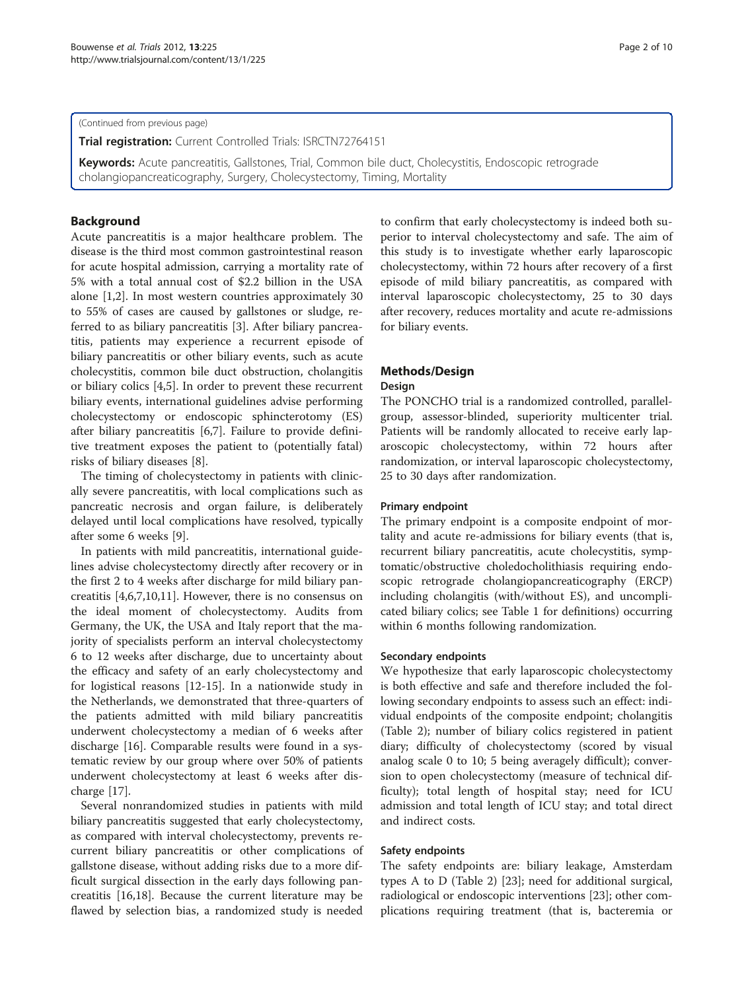(Continued from previous page)

Trial registration: Current Controlled Trials: ISRCTN72764151

Keywords: Acute pancreatitis, Gallstones, Trial, Common bile duct, Cholecystitis, Endoscopic retrograde cholangiopancreaticography, Surgery, Cholecystectomy, Timing, Mortality

## Background

Acute pancreatitis is a major healthcare problem. The disease is the third most common gastrointestinal reason for acute hospital admission, carrying a mortality rate of 5% with a total annual cost of \$2.2 billion in the USA alone [\[1,2](#page-8-0)]. In most western countries approximately 30 to 55% of cases are caused by gallstones or sludge, referred to as biliary pancreatitis [[3\]](#page-8-0). After biliary pancreatitis, patients may experience a recurrent episode of biliary pancreatitis or other biliary events, such as acute cholecystitis, common bile duct obstruction, cholangitis or biliary colics [[4,5\]](#page-8-0). In order to prevent these recurrent biliary events, international guidelines advise performing cholecystectomy or endoscopic sphincterotomy (ES) after biliary pancreatitis [\[6,7](#page-8-0)]. Failure to provide definitive treatment exposes the patient to (potentially fatal) risks of biliary diseases [\[8](#page-8-0)].

The timing of cholecystectomy in patients with clinically severe pancreatitis, with local complications such as pancreatic necrosis and organ failure, is deliberately delayed until local complications have resolved, typically after some 6 weeks [[9\]](#page-8-0).

In patients with mild pancreatitis, international guidelines advise cholecystectomy directly after recovery or in the first 2 to 4 weeks after discharge for mild biliary pancreatitis [\[4,6,7,10,11](#page-8-0)]. However, there is no consensus on the ideal moment of cholecystectomy. Audits from Germany, the UK, the USA and Italy report that the majority of specialists perform an interval cholecystectomy 6 to 12 weeks after discharge, due to uncertainty about the efficacy and safety of an early cholecystectomy and for logistical reasons [\[12](#page-8-0)-[15\]](#page-8-0). In a nationwide study in the Netherlands, we demonstrated that three-quarters of the patients admitted with mild biliary pancreatitis underwent cholecystectomy a median of 6 weeks after discharge [[16\]](#page-8-0). Comparable results were found in a systematic review by our group where over 50% of patients underwent cholecystectomy at least 6 weeks after discharge [[17](#page-9-0)].

Several nonrandomized studies in patients with mild biliary pancreatitis suggested that early cholecystectomy, as compared with interval cholecystectomy, prevents recurrent biliary pancreatitis or other complications of gallstone disease, without adding risks due to a more difficult surgical dissection in the early days following pancreatitis [[16](#page-8-0),[18](#page-9-0)]. Because the current literature may be flawed by selection bias, a randomized study is needed to confirm that early cholecystectomy is indeed both superior to interval cholecystectomy and safe. The aim of this study is to investigate whether early laparoscopic cholecystectomy, within 72 hours after recovery of a first episode of mild biliary pancreatitis, as compared with interval laparoscopic cholecystectomy, 25 to 30 days after recovery, reduces mortality and acute re-admissions for biliary events.

## Methods/Design

#### Design

The PONCHO trial is a randomized controlled, parallelgroup, assessor-blinded, superiority multicenter trial. Patients will be randomly allocated to receive early laparoscopic cholecystectomy, within 72 hours after randomization, or interval laparoscopic cholecystectomy, 25 to 30 days after randomization.

## Primary endpoint

The primary endpoint is a composite endpoint of mortality and acute re-admissions for biliary events (that is, recurrent biliary pancreatitis, acute cholecystitis, symptomatic/obstructive choledocholithiasis requiring endoscopic retrograde cholangiopancreaticography (ERCP) including cholangitis (with/without ES), and uncomplicated biliary colics; see Table [1](#page-2-0) for definitions) occurring within 6 months following randomization.

#### Secondary endpoints

We hypothesize that early laparoscopic cholecystectomy is both effective and safe and therefore included the following secondary endpoints to assess such an effect: individual endpoints of the composite endpoint; cholangitis (Table [2](#page-2-0)); number of biliary colics registered in patient diary; difficulty of cholecystectomy (scored by visual analog scale 0 to 10; 5 being averagely difficult); conversion to open cholecystectomy (measure of technical difficulty); total length of hospital stay; need for ICU admission and total length of ICU stay; and total direct and indirect costs.

## Safety endpoints

The safety endpoints are: biliary leakage, Amsterdam types A to D (Table [2](#page-2-0)) [[23\]](#page-9-0); need for additional surgical, radiological or endoscopic interventions [[23\]](#page-9-0); other complications requiring treatment (that is, bacteremia or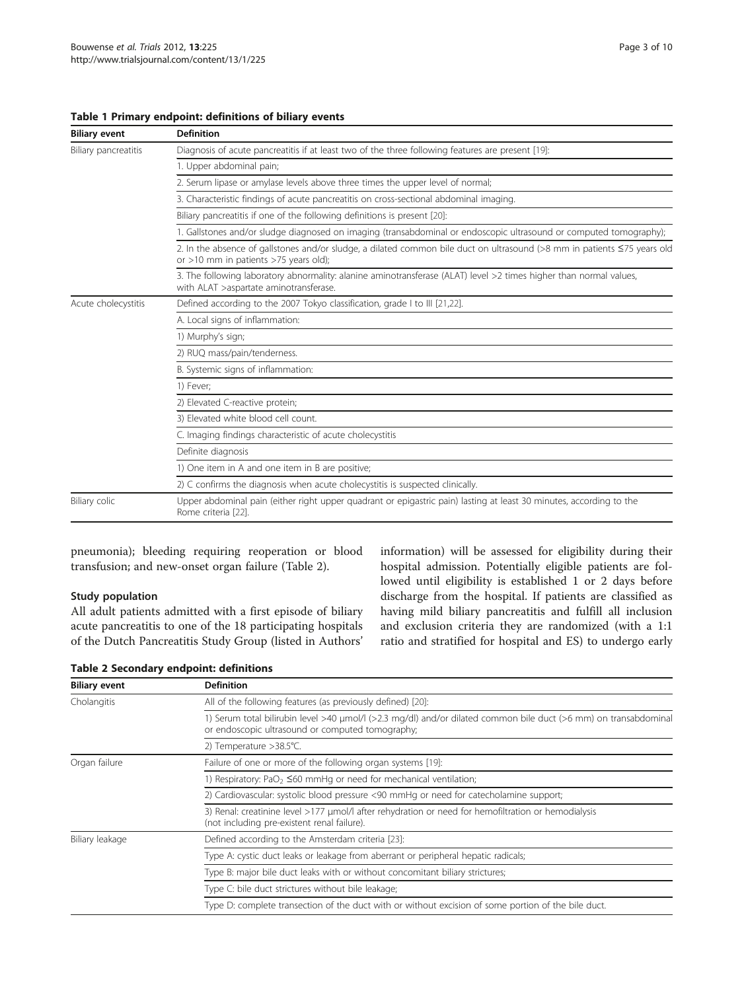## <span id="page-2-0"></span>Table 1 Primary endpoint: definitions of biliary events

| <b>Biliary event</b> | <b>Definition</b>                                                                                                                                                 |
|----------------------|-------------------------------------------------------------------------------------------------------------------------------------------------------------------|
| Biliary pancreatitis | Diagnosis of acute pancreatitis if at least two of the three following features are present [19]:                                                                 |
|                      | 1. Upper abdominal pain;                                                                                                                                          |
|                      | 2. Serum lipase or amylase levels above three times the upper level of normal;                                                                                    |
|                      | 3. Characteristic findings of acute pancreatitis on cross-sectional abdominal imaging.                                                                            |
|                      | Biliary pancreatitis if one of the following definitions is present [20]:                                                                                         |
|                      | 1. Gallstones and/or sludge diagnosed on imaging (transabdominal or endoscopic ultrasound or computed tomography);                                                |
|                      | 2. In the absence of gallstones and/or sludge, a dilated common bile duct on ultrasound (>8 mm in patients ≤75 years old<br>or >10 mm in patients >75 years old); |
|                      | 3. The following laboratory abnormality: alanine aminotransferase (ALAT) level >2 times higher than normal values,<br>with ALAT >aspartate aminotransferase.      |
| Acute cholecystitis  | Defined according to the 2007 Tokyo classification, grade I to III [21,22].                                                                                       |
|                      | A. Local signs of inflammation:                                                                                                                                   |
|                      | 1) Murphy's sign;                                                                                                                                                 |
|                      | 2) RUQ mass/pain/tenderness.                                                                                                                                      |
|                      | B. Systemic signs of inflammation:                                                                                                                                |
|                      | 1) Fever;                                                                                                                                                         |
|                      | 2) Elevated C-reactive protein;                                                                                                                                   |
|                      | 3) Elevated white blood cell count.                                                                                                                               |
|                      | C. Imaging findings characteristic of acute cholecystitis                                                                                                         |
|                      | Definite diagnosis                                                                                                                                                |
|                      | 1) One item in A and one item in B are positive;                                                                                                                  |
|                      | 2) C confirms the diagnosis when acute cholecystitis is suspected clinically.                                                                                     |
| Biliary colic        | Upper abdominal pain (either right upper quadrant or epigastric pain) lasting at least 30 minutes, according to the<br>Rome criteria [22].                        |

pneumonia); bleeding requiring reoperation or blood transfusion; and new-onset organ failure (Table 2).

## Study population

All adult patients admitted with a first episode of biliary acute pancreatitis to one of the 18 participating hospitals of the Dutch Pancreatitis Study Group (listed in Authors' information) will be assessed for eligibility during their hospital admission. Potentially eligible patients are followed until eligibility is established 1 or 2 days before discharge from the hospital. If patients are classified as having mild biliary pancreatitis and fulfill all inclusion and exclusion criteria they are randomized (with a 1:1 ratio and stratified for hospital and ES) to undergo early

| <b>Biliary event</b> | <b>Definition</b>                                                                                                                                                    |
|----------------------|----------------------------------------------------------------------------------------------------------------------------------------------------------------------|
| Cholangitis          | All of the following features (as previously defined) [20]:                                                                                                          |
|                      | 1) Serum total bilirubin level >40 µmol/l (>2.3 mg/dl) and/or dilated common bile duct (>6 mm) on transabdominal<br>or endoscopic ultrasound or computed tomography; |
|                      | 2) Temperature >38.5°C.                                                                                                                                              |
| Organ failure        | Failure of one or more of the following organ systems [19]:                                                                                                          |
|                      | 1) Respiratory: PaO <sub>2</sub> $\leq$ 60 mmHq or need for mechanical ventilation;                                                                                  |
|                      | 2) Cardiovascular: systolic blood pressure <90 mmHq or need for catecholamine support;                                                                               |
|                      | 3) Renal: creatinine level >177 µmol/l after rehydration or need for hemofiltration or hemodialysis<br>(not including pre-existent renal failure).                   |
| Biliary leakage      | Defined according to the Amsterdam criteria [23]:                                                                                                                    |
|                      | Type A: cystic duct leaks or leakage from aberrant or peripheral hepatic radicals;                                                                                   |
|                      | Type B: major bile duct leaks with or without concomitant biliary strictures;                                                                                        |
|                      | Type C: bile duct strictures without bile leakage;                                                                                                                   |
|                      | Type D: complete transection of the duct with or without excision of some portion of the bile duct.                                                                  |

## Table 2 Secondary endpoint: definitions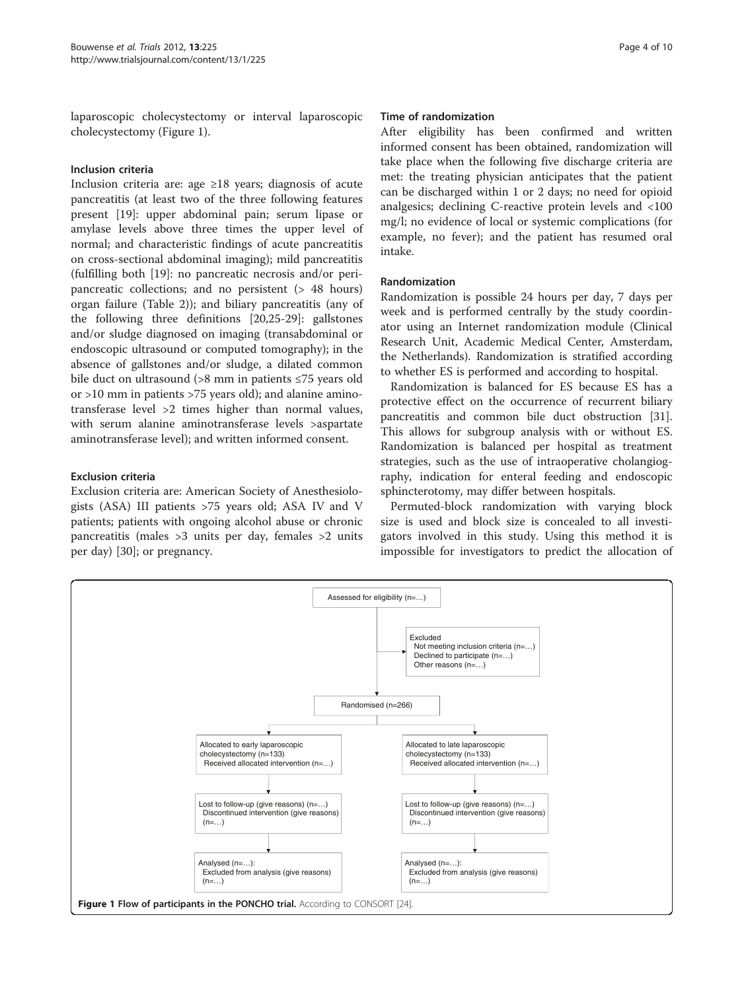laparoscopic cholecystectomy or interval laparoscopic cholecystectomy (Figure 1).

## Inclusion criteria

Inclusion criteria are: age ≥18 years; diagnosis of acute pancreatitis (at least two of the three following features present [[19\]](#page-9-0): upper abdominal pain; serum lipase or amylase levels above three times the upper level of normal; and characteristic findings of acute pancreatitis on cross-sectional abdominal imaging); mild pancreatitis (fulfilling both [\[19](#page-9-0)]: no pancreatic necrosis and/or peripancreatic collections; and no persistent (> 48 hours) organ failure (Table [2](#page-2-0))); and biliary pancreatitis (any of the following three definitions [\[20,25-29](#page-9-0)]: gallstones and/or sludge diagnosed on imaging (transabdominal or endoscopic ultrasound or computed tomography); in the absence of gallstones and/or sludge, a dilated common bile duct on ultrasound (>8 mm in patients ≤75 years old or >10 mm in patients >75 years old); and alanine aminotransferase level >2 times higher than normal values, with serum alanine aminotransferase levels >aspartate aminotransferase level); and written informed consent.

## Exclusion criteria

Exclusion criteria are: American Society of Anesthesiologists (ASA) III patients >75 years old; ASA IV and V patients; patients with ongoing alcohol abuse or chronic pancreatitis (males >3 units per day, females >2 units per day) [\[30\]](#page-9-0); or pregnancy.

## Time of randomization

After eligibility has been confirmed and written informed consent has been obtained, randomization will take place when the following five discharge criteria are met: the treating physician anticipates that the patient can be discharged within 1 or 2 days; no need for opioid analgesics; declining C-reactive protein levels and <100 mg/l; no evidence of local or systemic complications (for example, no fever); and the patient has resumed oral intake.

## Randomization

Randomization is possible 24 hours per day, 7 days per week and is performed centrally by the study coordinator using an Internet randomization module (Clinical Research Unit, Academic Medical Center, Amsterdam, the Netherlands). Randomization is stratified according to whether ES is performed and according to hospital.

Randomization is balanced for ES because ES has a protective effect on the occurrence of recurrent biliary pancreatitis and common bile duct obstruction [\[31](#page-9-0)]. This allows for subgroup analysis with or without ES. Randomization is balanced per hospital as treatment strategies, such as the use of intraoperative cholangiography, indication for enteral feeding and endoscopic sphincterotomy, may differ between hospitals.

Permuted-block randomization with varying block size is used and block size is concealed to all investigators involved in this study. Using this method it is impossible for investigators to predict the allocation of

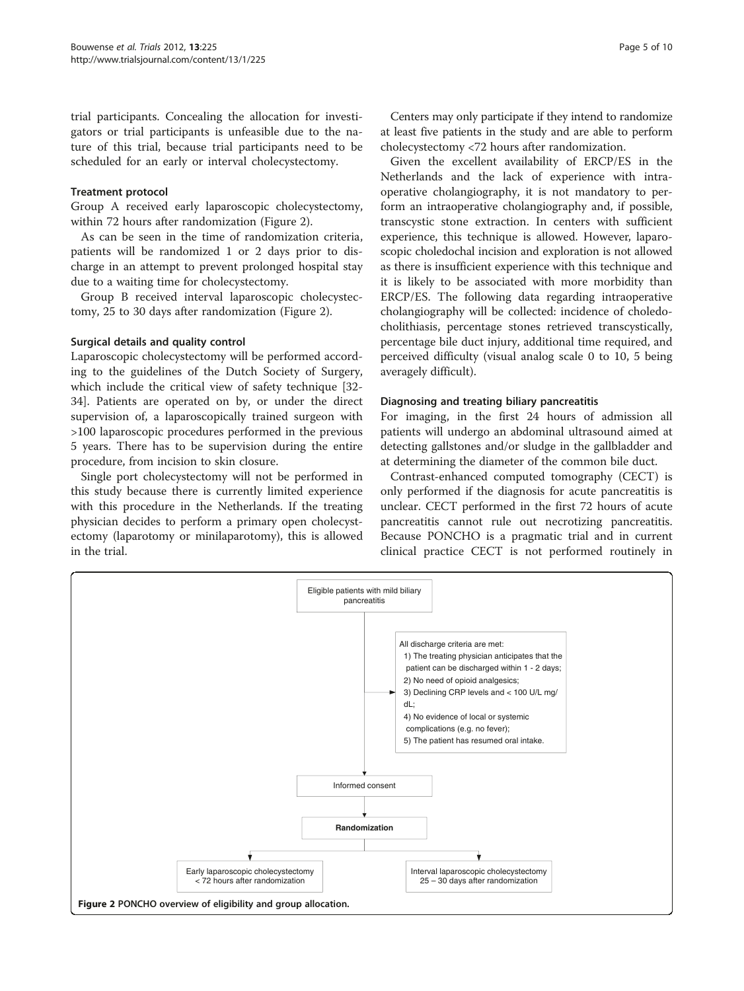trial participants. Concealing the allocation for investigators or trial participants is unfeasible due to the nature of this trial, because trial participants need to be scheduled for an early or interval cholecystectomy.

## Treatment protocol

Group A received early laparoscopic cholecystectomy, within 72 hours after randomization (Figure 2).

As can be seen in the time of randomization criteria, patients will be randomized 1 or 2 days prior to discharge in an attempt to prevent prolonged hospital stay due to a waiting time for cholecystectomy.

Group B received interval laparoscopic cholecystectomy, 25 to 30 days after randomization (Figure 2).

## Surgical details and quality control

Laparoscopic cholecystectomy will be performed according to the guidelines of the Dutch Society of Surgery, which include the critical view of safety technique [\[32-](#page-9-0) [34\]](#page-9-0). Patients are operated on by, or under the direct supervision of, a laparoscopically trained surgeon with >100 laparoscopic procedures performed in the previous 5 years. There has to be supervision during the entire procedure, from incision to skin closure.

Single port cholecystectomy will not be performed in this study because there is currently limited experience with this procedure in the Netherlands. If the treating physician decides to perform a primary open cholecystectomy (laparotomy or minilaparotomy), this is allowed in the trial.

Centers may only participate if they intend to randomize at least five patients in the study and are able to perform cholecystectomy <72 hours after randomization.

Given the excellent availability of ERCP/ES in the Netherlands and the lack of experience with intraoperative cholangiography, it is not mandatory to perform an intraoperative cholangiography and, if possible, transcystic stone extraction. In centers with sufficient experience, this technique is allowed. However, laparoscopic choledochal incision and exploration is not allowed as there is insufficient experience with this technique and it is likely to be associated with more morbidity than ERCP/ES. The following data regarding intraoperative cholangiography will be collected: incidence of choledocholithiasis, percentage stones retrieved transcystically, percentage bile duct injury, additional time required, and perceived difficulty (visual analog scale 0 to 10, 5 being averagely difficult).

## Diagnosing and treating biliary pancreatitis

For imaging, in the first 24 hours of admission all patients will undergo an abdominal ultrasound aimed at detecting gallstones and/or sludge in the gallbladder and at determining the diameter of the common bile duct.

Contrast-enhanced computed tomography (CECT) is only performed if the diagnosis for acute pancreatitis is unclear. CECT performed in the first 72 hours of acute pancreatitis cannot rule out necrotizing pancreatitis. Because PONCHO is a pragmatic trial and in current clinical practice CECT is not performed routinely in

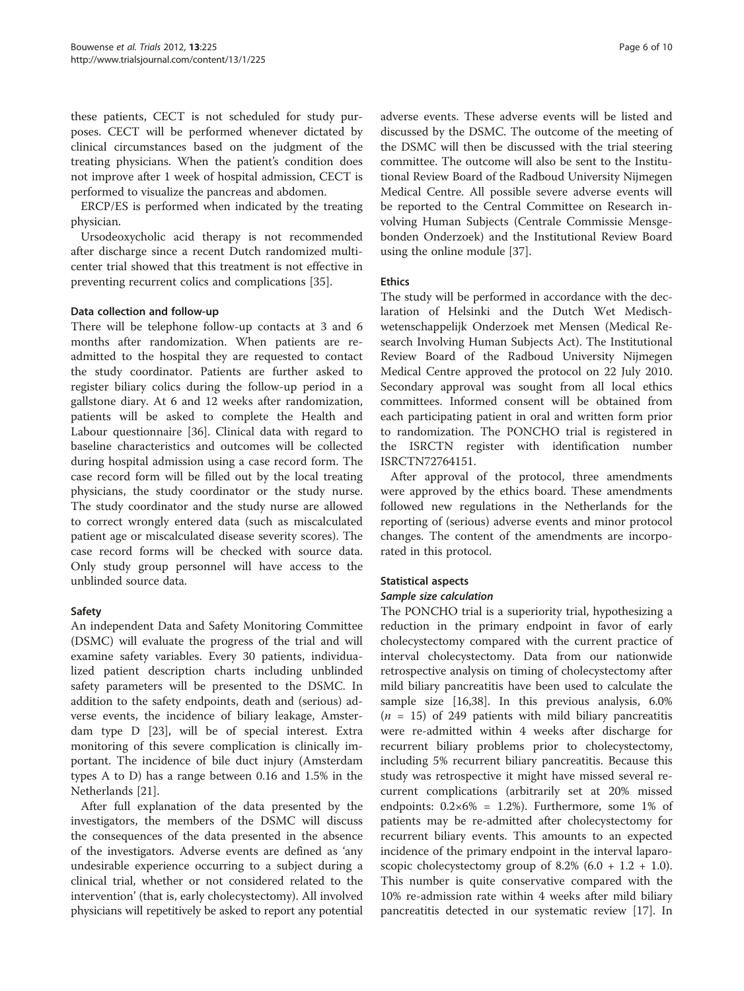these patients, CECT is not scheduled for study purposes. CECT will be performed whenever dictated by clinical circumstances based on the judgment of the treating physicians. When the patient's condition does not improve after 1 week of hospital admission, CECT is performed to visualize the pancreas and abdomen.

ERCP/ES is performed when indicated by the treating physician.

Ursodeoxycholic acid therapy is not recommended after discharge since a recent Dutch randomized multicenter trial showed that this treatment is not effective in preventing recurrent colics and complications [\[35\]](#page-9-0).

## Data collection and follow-up

There will be telephone follow-up contacts at 3 and 6 months after randomization. When patients are readmitted to the hospital they are requested to contact the study coordinator. Patients are further asked to register biliary colics during the follow-up period in a gallstone diary. At 6 and 12 weeks after randomization, patients will be asked to complete the Health and Labour questionnaire [\[36](#page-9-0)]. Clinical data with regard to baseline characteristics and outcomes will be collected during hospital admission using a case record form. The case record form will be filled out by the local treating physicians, the study coordinator or the study nurse. The study coordinator and the study nurse are allowed to correct wrongly entered data (such as miscalculated patient age or miscalculated disease severity scores). The case record forms will be checked with source data. Only study group personnel will have access to the unblinded source data.

## Safety

An independent Data and Safety Monitoring Committee (DSMC) will evaluate the progress of the trial and will examine safety variables. Every 30 patients, individualized patient description charts including unblinded safety parameters will be presented to the DSMC. In addition to the safety endpoints, death and (serious) adverse events, the incidence of biliary leakage, Amsterdam type D [[23\]](#page-9-0), will be of special interest. Extra monitoring of this severe complication is clinically important. The incidence of bile duct injury (Amsterdam types A to D) has a range between 0.16 and 1.5% in the Netherlands [[21](#page-9-0)].

After full explanation of the data presented by the investigators, the members of the DSMC will discuss the consequences of the data presented in the absence of the investigators. Adverse events are defined as 'any undesirable experience occurring to a subject during a clinical trial, whether or not considered related to the intervention' (that is, early cholecystectomy). All involved physicians will repetitively be asked to report any potential

adverse events. These adverse events will be listed and discussed by the DSMC. The outcome of the meeting of the DSMC will then be discussed with the trial steering committee. The outcome will also be sent to the Institutional Review Board of the Radboud University Nijmegen Medical Centre. All possible severe adverse events will be reported to the Central Committee on Research involving Human Subjects (Centrale Commissie Mensgebonden Onderzoek) and the Institutional Review Board using the online module [[37](#page-9-0)].

## Ethics

The study will be performed in accordance with the declaration of Helsinki and the Dutch Wet Medischwetenschappelijk Onderzoek met Mensen (Medical Research Involving Human Subjects Act). The Institutional Review Board of the Radboud University Nijmegen Medical Centre approved the protocol on 22 July 2010. Secondary approval was sought from all local ethics committees. Informed consent will be obtained from each participating patient in oral and written form prior to randomization. The PONCHO trial is registered in the ISRCTN register with identification number ISRCTN72764151.

After approval of the protocol, three amendments were approved by the ethics board. These amendments followed new regulations in the Netherlands for the reporting of (serious) adverse events and minor protocol changes. The content of the amendments are incorporated in this protocol.

## Statistical aspects

## Sample size calculation

The PONCHO trial is a superiority trial, hypothesizing a reduction in the primary endpoint in favor of early cholecystectomy compared with the current practice of interval cholecystectomy. Data from our nationwide retrospective analysis on timing of cholecystectomy after mild biliary pancreatitis have been used to calculate the sample size [[16](#page-8-0),[38](#page-9-0)]. In this previous analysis, 6.0%  $(n = 15)$  of 249 patients with mild biliary pancreatitis were re-admitted within 4 weeks after discharge for recurrent biliary problems prior to cholecystectomy, including 5% recurrent biliary pancreatitis. Because this study was retrospective it might have missed several recurrent complications (arbitrarily set at 20% missed endpoints:  $0.2 \times 6\% = 1.2\%$ ). Furthermore, some 1% of patients may be re-admitted after cholecystectomy for recurrent biliary events. This amounts to an expected incidence of the primary endpoint in the interval laparoscopic cholecystectomy group of 8.2%  $(6.0 + 1.2 + 1.0)$ . This number is quite conservative compared with the 10% re-admission rate within 4 weeks after mild biliary pancreatitis detected in our systematic review [[17\]](#page-9-0). In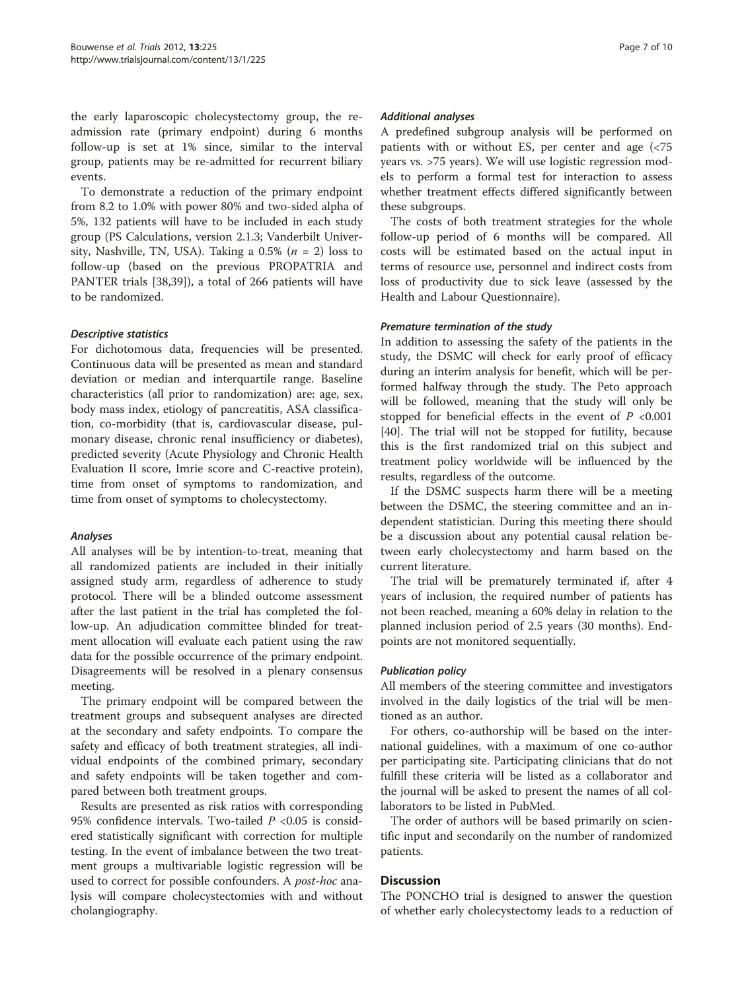the early laparoscopic cholecystectomy group, the readmission rate (primary endpoint) during 6 months follow-up is set at 1% since, similar to the interval group, patients may be re-admitted for recurrent biliary events.

To demonstrate a reduction of the primary endpoint from 8.2 to 1.0% with power 80% and two-sided alpha of 5%, 132 patients will have to be included in each study group (PS Calculations, version 2.1.3; Vanderbilt University, Nashville, TN, USA). Taking a 0.5% ( $n = 2$ ) loss to follow-up (based on the previous PROPATRIA and PANTER trials [[38,39\]](#page-9-0)), a total of 266 patients will have to be randomized.

## Descriptive statistics

For dichotomous data, frequencies will be presented. Continuous data will be presented as mean and standard deviation or median and interquartile range. Baseline characteristics (all prior to randomization) are: age, sex, body mass index, etiology of pancreatitis, ASA classification, co-morbidity (that is, cardiovascular disease, pulmonary disease, chronic renal insufficiency or diabetes), predicted severity (Acute Physiology and Chronic Health Evaluation II score, Imrie score and C-reactive protein), time from onset of symptoms to randomization, and time from onset of symptoms to cholecystectomy.

## Analyses

All analyses will be by intention-to-treat, meaning that all randomized patients are included in their initially assigned study arm, regardless of adherence to study protocol. There will be a blinded outcome assessment after the last patient in the trial has completed the follow-up. An adjudication committee blinded for treatment allocation will evaluate each patient using the raw data for the possible occurrence of the primary endpoint. Disagreements will be resolved in a plenary consensus meeting.

The primary endpoint will be compared between the treatment groups and subsequent analyses are directed at the secondary and safety endpoints. To compare the safety and efficacy of both treatment strategies, all individual endpoints of the combined primary, secondary and safety endpoints will be taken together and compared between both treatment groups.

Results are presented as risk ratios with corresponding 95% confidence intervals. Two-tailed  $P < 0.05$  is considered statistically significant with correction for multiple testing. In the event of imbalance between the two treatment groups a multivariable logistic regression will be used to correct for possible confounders. A *post-hoc* analysis will compare cholecystectomies with and without cholangiography.

## Additional analyses

A predefined subgroup analysis will be performed on patients with or without ES, per center and age (<75 years vs. >75 years). We will use logistic regression models to perform a formal test for interaction to assess whether treatment effects differed significantly between these subgroups.

The costs of both treatment strategies for the whole follow-up period of 6 months will be compared. All costs will be estimated based on the actual input in terms of resource use, personnel and indirect costs from loss of productivity due to sick leave (assessed by the Health and Labour Questionnaire).

## Premature termination of the study

In addition to assessing the safety of the patients in the study, the DSMC will check for early proof of efficacy during an interim analysis for benefit, which will be performed halfway through the study. The Peto approach will be followed, meaning that the study will only be stopped for beneficial effects in the event of  $P < 0.001$ [[40\]](#page-9-0). The trial will not be stopped for futility, because this is the first randomized trial on this subject and treatment policy worldwide will be influenced by the results, regardless of the outcome.

If the DSMC suspects harm there will be a meeting between the DSMC, the steering committee and an independent statistician. During this meeting there should be a discussion about any potential causal relation between early cholecystectomy and harm based on the current literature.

The trial will be prematurely terminated if, after 4 years of inclusion, the required number of patients has not been reached, meaning a 60% delay in relation to the planned inclusion period of 2.5 years (30 months). Endpoints are not monitored sequentially.

## Publication policy

All members of the steering committee and investigators involved in the daily logistics of the trial will be mentioned as an author.

For others, co-authorship will be based on the international guidelines, with a maximum of one co-author per participating site. Participating clinicians that do not fulfill these criteria will be listed as a collaborator and the journal will be asked to present the names of all collaborators to be listed in PubMed.

The order of authors will be based primarily on scientific input and secondarily on the number of randomized patients.

## Discussion

The PONCHO trial is designed to answer the question of whether early cholecystectomy leads to a reduction of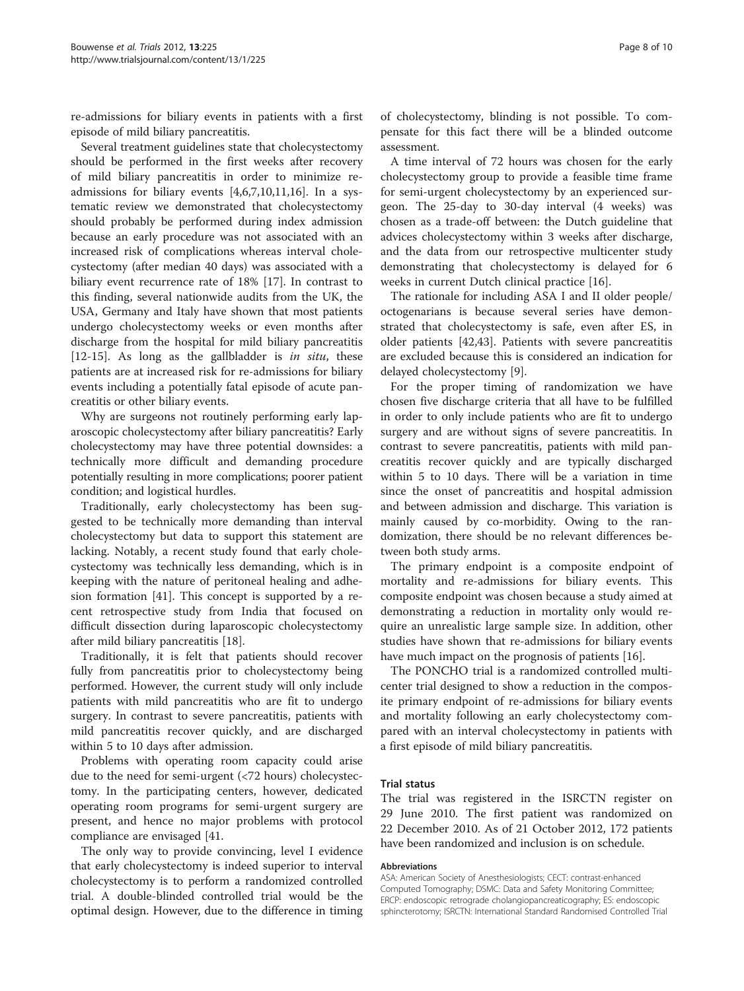re-admissions for biliary events in patients with a first episode of mild biliary pancreatitis.

Several treatment guidelines state that cholecystectomy should be performed in the first weeks after recovery of mild biliary pancreatitis in order to minimize readmissions for biliary events [[4,6,7,10,11,16\]](#page-8-0). In a systematic review we demonstrated that cholecystectomy should probably be performed during index admission because an early procedure was not associated with an increased risk of complications whereas interval cholecystectomy (after median 40 days) was associated with a biliary event recurrence rate of 18% [[17\]](#page-9-0). In contrast to this finding, several nationwide audits from the UK, the USA, Germany and Italy have shown that most patients undergo cholecystectomy weeks or even months after discharge from the hospital for mild biliary pancreatitis [[12-15](#page-8-0)]. As long as the gallbladder is in situ, these patients are at increased risk for re-admissions for biliary events including a potentially fatal episode of acute pancreatitis or other biliary events.

Why are surgeons not routinely performing early laparoscopic cholecystectomy after biliary pancreatitis? Early cholecystectomy may have three potential downsides: a technically more difficult and demanding procedure potentially resulting in more complications; poorer patient condition; and logistical hurdles.

Traditionally, early cholecystectomy has been suggested to be technically more demanding than interval cholecystectomy but data to support this statement are lacking. Notably, a recent study found that early cholecystectomy was technically less demanding, which is in keeping with the nature of peritoneal healing and adhesion formation [[41\]](#page-9-0). This concept is supported by a recent retrospective study from India that focused on difficult dissection during laparoscopic cholecystectomy after mild biliary pancreatitis [\[18\]](#page-9-0).

Traditionally, it is felt that patients should recover fully from pancreatitis prior to cholecystectomy being performed. However, the current study will only include patients with mild pancreatitis who are fit to undergo surgery. In contrast to severe pancreatitis, patients with mild pancreatitis recover quickly, and are discharged within 5 to 10 days after admission.

Problems with operating room capacity could arise due to the need for semi-urgent (<72 hours) cholecystectomy. In the participating centers, however, dedicated operating room programs for semi-urgent surgery are present, and hence no major problems with protocol compliance are envisaged [41.

The only way to provide convincing, level I evidence that early cholecystectomy is indeed superior to interval cholecystectomy is to perform a randomized controlled trial. A double-blinded controlled trial would be the optimal design. However, due to the difference in timing

of cholecystectomy, blinding is not possible. To compensate for this fact there will be a blinded outcome assessment.

A time interval of 72 hours was chosen for the early cholecystectomy group to provide a feasible time frame for semi-urgent cholecystectomy by an experienced surgeon. The 25-day to 30-day interval (4 weeks) was chosen as a trade-off between: the Dutch guideline that advices cholecystectomy within 3 weeks after discharge, and the data from our retrospective multicenter study demonstrating that cholecystectomy is delayed for 6 weeks in current Dutch clinical practice [\[16](#page-8-0)].

The rationale for including ASA I and II older people/ octogenarians is because several series have demonstrated that cholecystectomy is safe, even after ES, in older patients [\[42,43\]](#page-9-0). Patients with severe pancreatitis are excluded because this is considered an indication for delayed cholecystectomy [[9\]](#page-8-0).

For the proper timing of randomization we have chosen five discharge criteria that all have to be fulfilled in order to only include patients who are fit to undergo surgery and are without signs of severe pancreatitis. In contrast to severe pancreatitis, patients with mild pancreatitis recover quickly and are typically discharged within 5 to 10 days. There will be a variation in time since the onset of pancreatitis and hospital admission and between admission and discharge. This variation is mainly caused by co-morbidity. Owing to the randomization, there should be no relevant differences between both study arms.

The primary endpoint is a composite endpoint of mortality and re-admissions for biliary events. This composite endpoint was chosen because a study aimed at demonstrating a reduction in mortality only would require an unrealistic large sample size. In addition, other studies have shown that re-admissions for biliary events have much impact on the prognosis of patients [[16](#page-8-0)].

The PONCHO trial is a randomized controlled multicenter trial designed to show a reduction in the composite primary endpoint of re-admissions for biliary events and mortality following an early cholecystectomy compared with an interval cholecystectomy in patients with a first episode of mild biliary pancreatitis.

## Trial status

The trial was registered in the ISRCTN register on 29 June 2010. The first patient was randomized on 22 December 2010. As of 21 October 2012, 172 patients have been randomized and inclusion is on schedule.

#### Abbreviations

ASA: American Society of Anesthesiologists; CECT: contrast-enhanced Computed Tomography; DSMC: Data and Safety Monitoring Committee; ERCP: endoscopic retrograde cholangiopancreaticography; ES: endoscopic sphincterotomy; ISRCTN: International Standard Randomised Controlled Trial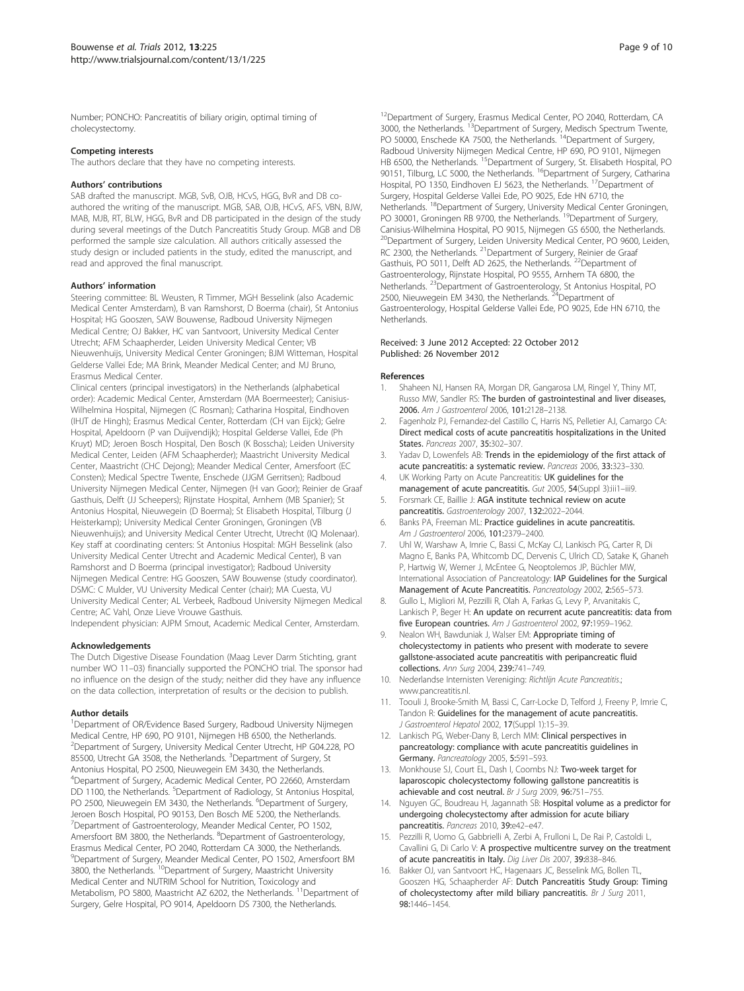<span id="page-8-0"></span>Number; PONCHO: Pancreatitis of biliary origin, optimal timing of cholecystectomy.

#### Competing interests

The authors declare that they have no competing interests.

#### Authors' contributions

SAB drafted the manuscript. MGB, SvB, OJB, HCvS, HGG, BvR and DB coauthored the writing of the manuscript. MGB, SAB, OJB, HCvS, AFS, VBN, BJW, MAB, MJB, RT, BLW, HGG, BvR and DB participated in the design of the study during several meetings of the Dutch Pancreatitis Study Group. MGB and DB performed the sample size calculation. All authors critically assessed the study design or included patients in the study, edited the manuscript, and read and approved the final manuscript.

#### Authors' information

Steering committee: BL Weusten, R Timmer, MGH Besselink (also Academic Medical Center Amsterdam), B van Ramshorst, D Boerma (chair), St Antonius Hospital; HG Gooszen, SAW Bouwense, Radboud University Nijmegen Medical Centre; OJ Bakker, HC van Santvoort, University Medical Center Utrecht; AFM Schaapherder, Leiden University Medical Center; VB Nieuwenhuijs, University Medical Center Groningen; BJM Witteman, Hospital Gelderse Vallei Ede; MA Brink, Meander Medical Center; and MJ Bruno, Erasmus Medical Center.

Clinical centers (principal investigators) in the Netherlands (alphabetical order): Academic Medical Center, Amsterdam (MA Boermeester); Canisius-Wilhelmina Hospital, Nijmegen (C Rosman); Catharina Hospital, Eindhoven (IHJT de Hingh); Erasmus Medical Center, Rotterdam (CH van Eijck); Gelre Hospital, Apeldoorn (P van Duijvendijk); Hospital Gelderse Vallei, Ede (Ph Kruyt) MD; Jeroen Bosch Hospital, Den Bosch (K Bosscha); Leiden University Medical Center, Leiden (AFM Schaapherder); Maastricht University Medical Center, Maastricht (CHC Dejong); Meander Medical Center, Amersfoort (EC Consten); Medical Spectre Twente, Enschede (JJGM Gerritsen); Radboud University Nijmegen Medical Center, Nijmegen (H van Goor); Reinier de Graaf Gasthuis, Delft (JJ Scheepers); Rijnstate Hospital, Arnhem (MB Spanier); St Antonius Hospital, Nieuwegein (D Boerma); St Elisabeth Hospital, Tilburg (J Heisterkamp); University Medical Center Groningen, Groningen (VB Nieuwenhuijs); and University Medical Center Utrecht, Utrecht (IQ Molenaar). Key staff at coordinating centers: St Antonius Hospital: MGH Besselink (also University Medical Center Utrecht and Academic Medical Center), B van Ramshorst and D Boerma (principal investigator); Radboud University Nijmegen Medical Centre: HG Gooszen, SAW Bouwense (study coordinator). DSMC: C Mulder, VU University Medical Center (chair); MA Cuesta, VU University Medical Center; AL Verbeek, Radboud University Nijmegen Medical Centre; AC Vahl, Onze Lieve Vrouwe Gasthuis. Independent physician: AJPM Smout, Academic Medical Center, Amsterdam.

#### Acknowledgements

The Dutch Digestive Disease Foundation (Maag Lever Darm Stichting, grant number WO 11–03) financially supported the PONCHO trial. The sponsor had no influence on the design of the study; neither did they have any influence on the data collection, interpretation of results or the decision to publish.

#### Author details

<sup>1</sup>Department of OR/Evidence Based Surgery, Radboud University Nijmegen Medical Centre, HP 690, PO 9101, Nijmegen HB 6500, the Netherlands. <sup>2</sup>Department of Surgery, University Medical Center Utrecht, HP G04.228, PO 85500, Utrecht GA 3508, the Netherlands. <sup>3</sup>Department of Surgery, St Antonius Hospital, PO 2500, Nieuwegein EM 3430, the Netherlands. 4 Department of Surgery, Academic Medical Center, PO 22660, Amsterdam DD 1100, the Netherlands. <sup>5</sup>Department of Radiology, St Antonius Hospital, PO 2500, Nieuwegein EM 3430, the Netherlands. <sup>6</sup>Department of Surgery, Jeroen Bosch Hospital, PO 90153, Den Bosch ME 5200, the Netherlands. <sup>7</sup>Department of Gastroenterology, Meander Medical Center, PO 1502, Amersfoort BM 3800, the Netherlands. <sup>8</sup>Department of Gastroenterology, Erasmus Medical Center, PO 2040, Rotterdam CA 3000, the Netherlands. <sup>9</sup>Department of Surgery, Meander Medical Center, PO 1502, Amersfoort BM<br>3800, the Netherlands. <sup>10</sup>Department of Surgery, Maastricht University Medical Center and NUTRIM School for Nutrition, Toxicology and Metabolism, PO 5800, Maastricht AZ 6202, the Netherlands. <sup>11</sup>Department of Surgery, Gelre Hospital, PO 9014, Apeldoorn DS 7300, the Netherlands.

<sup>12</sup>Department of Surgery, Erasmus Medical Center, PO 2040, Rotterdam, CA 3000, the Netherlands. <sup>13</sup>Department of Surgery, Medisch Spectrum Twente, PO 50000, Enschede KA 7500, the Netherlands.<sup>14</sup>Department of Surgery, Radboud University Nijmegen Medical Centre, HP 690, PO 9101, Nijmegen HB 6500, the Netherlands. <sup>15</sup>Department of Surgery, St. Elisabeth Hospital, PO 90151, Tilburg, LC 5000, the Netherlands. <sup>16</sup>Department of Surgery, Catharina Hospital, PO 1350, Eindhoven EJ 5623, the Netherlands. 17Department of Surgery, Hospital Gelderse Vallei Ede, PO 9025, Ede HN 6710, the Netherlands. <sup>18</sup>Department of Surgery, University Medical Center Groningen, PO 30001, Groningen RB 9700, the Netherlands.<sup>19</sup>Department of Surgery, Canisius-Wilhelmina Hospital, PO 9015, Nijmegen GS 6500, the Netherlands. <sup>20</sup>Department of Surgery, Leiden University Medical Center, PO 9600, Leiden, RC 2300, the Netherlands. <sup>21</sup> Department of Surgery, Reinier de Graat Gasthuis, PO 5011, Delft AD 2625, the Netherlands. <sup>22</sup>Department of Gastroenterology, Rijnstate Hospital, PO 9555, Arnhem TA 6800, the Netherlands. <sup>23</sup>Department of Gastroenterology, St Antonius Hospital, PO 2500, Nieuwegein EM 3430, the Netherlands. <sup>24</sup>Department of Gastroenterology, Hospital Gelderse Vallei Ede, PO 9025, Ede HN 6710, the Netherlands.

#### Received: 3 June 2012 Accepted: 22 October 2012 Published: 26 November 2012

#### References

- 1. Shaheen NJ, Hansen RA, Morgan DR, Gangarosa LM, Ringel Y, Thiny MT, Russo MW, Sandler RS: The burden of gastrointestinal and liver diseases, 2006. Am J Gastroenterol 2006, 101:2128–2138.
- 2. Fagenholz PJ, Fernandez-del Castillo C, Harris NS, Pelletier AJ, Camargo CA: Direct medical costs of acute pancreatitis hospitalizations in the United States. Pancreas 2007, 35:302–307.
- 3. Yadav D, Lowenfels AB: Trends in the epidemiology of the first attack of acute pancreatitis: a systematic review. Pancreas 2006, 33:323–330.
- 4. UK Working Party on Acute Pancreatitis: UK guidelines for the management of acute pancreatitis. Gut 2005, 54(Suppl 3):iii1-iii9.
- 5. Forsmark CE, Baillie J: AGA institute technical review on acute pancreatitis. Gastroenterology 2007, 132:2022–2044.
- 6. Banks PA, Freeman ML: Practice guidelines in acute pancreatitis. Am J Gastroenterol 2006, 101:2379–2400.
- 7. Uhl W, Warshaw A, Imrie C, Bassi C, McKay CJ, Lankisch PG, Carter R, Di Magno E, Banks PA, Whitcomb DC, Dervenis C, Ulrich CD, Satake K, Ghaneh P, Hartwig W, Werner J, McEntee G, Neoptolemos JP, Büchler MW, International Association of Pancreatology: IAP Guidelines for the Surgical Management of Acute Pancreatitis. Pancreatology 2002, 2:565–573.
- Gullo L, Migliori M, Pezzilli R, Olah A, Farkas G, Levy P, Arvanitakis C, Lankisch P, Beger H: An update on recurrent acute pancreatitis: data from five European countries. Am J Gastroenterol 2002, 97:1959–1962.
- 9. Nealon WH, Bawduniak J, Walser EM: Appropriate timing of cholecystectomy in patients who present with moderate to severe gallstone-associated acute pancreatitis with peripancreatic fluid collections. Ann Surg 2004, 239:741–749.
- 10. Nederlandse Internisten Vereniging: Richtlijn Acute Pancreatitis.; [www.pancreatitis.nl](http://www.pancreatitis.nl).
- 11. Toouli J, Brooke-Smith M, Bassi C, Carr-Locke D, Telford J, Freeny P, Imrie C, Tandon R: Guidelines for the management of acute pancreatitis. J Gastroenterol Hepatol 2002, 17(Suppl 1):15–39.
- 12. Lankisch PG, Weber-Dany B, Lerch MM: Clinical perspectives in pancreatology: compliance with acute pancreatitis guidelines in Germany. Pancreatology 2005, 5:591–593.
- 13. Monkhouse SJ, Court EL, Dash I, Coombs NJ: Two-week target for laparoscopic cholecystectomy following gallstone pancreatitis is achievable and cost neutral. Br J Surg 2009, 96:751-755.
- 14. Nguyen GC, Boudreau H, Jagannath SB: Hospital volume as a predictor for undergoing cholecystectomy after admission for acute biliary pancreatitis. Pancreas 2010, 39:e42-e47.
- 15. Pezzilli R, Uomo G, Gabbrielli A, Zerbi A, Frulloni L, De Rai P, Castoldi L, Cavallini G, Di Carlo V: A prospective multicentre survey on the treatment of acute pancreatitis in Italy. Dig Liver Dis 2007, 39:838–846.
- 16. Bakker OJ, van Santvoort HC, Hagenaars JC, Besselink MG, Bollen TL, Gooszen HG, Schaapherder AF: Dutch Pancreatitis Study Group: Timing of cholecystectomy after mild biliary pancreatitis. Br J Surg 2011, 98:1446–1454.